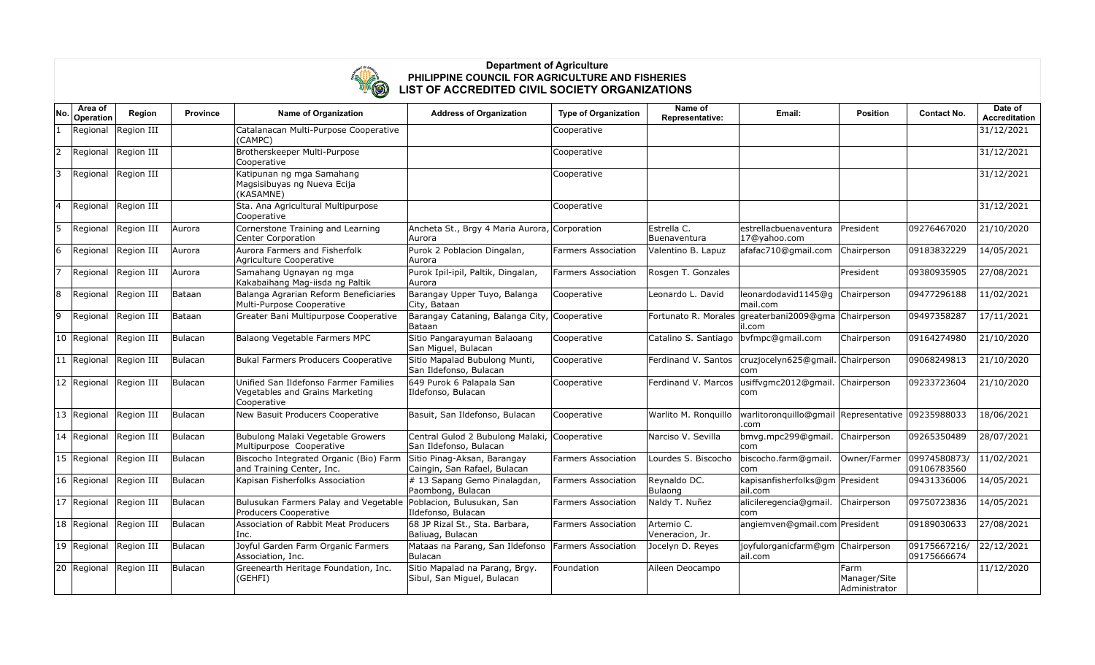

## **Department of Agriculture PHILIPPINE COUNCIL FOR AGRICULTURE AND FISHERIES LIST OF ACCREDITED CIVIL SOCIETY ORGANIZATIONS**

| No.          | Area of<br>Operation | <b>Region</b>          | <b>Province</b> | <b>Name of Organization</b>                                                              | <b>Address of Organization</b>                                     | <b>Type of Organization</b> | Name of<br>Representative:              | Email:                                                    | <b>Position</b>                       | <b>Contact No.</b>          | Date of<br>Accreditation |
|--------------|----------------------|------------------------|-----------------|------------------------------------------------------------------------------------------|--------------------------------------------------------------------|-----------------------------|-----------------------------------------|-----------------------------------------------------------|---------------------------------------|-----------------------------|--------------------------|
|              | Regional             | Region III             |                 | Catalanacan Multi-Purpose Cooperative<br>(CAMPC)                                         |                                                                    | Cooperative                 |                                         |                                                           |                                       |                             | 31/12/2021               |
| 2            | Regional             | Region III             |                 | Brotherskeeper Multi-Purpose<br>Cooperative                                              |                                                                    | Cooperative                 |                                         |                                                           |                                       |                             | 31/12/2021               |
| 13           |                      | Regional Region III    |                 | Katipunan ng mga Samahang<br>Magsisibuyas ng Nueva Ecija<br>(KASAMNE)                    |                                                                    | Cooperative                 |                                         |                                                           |                                       |                             | 31/12/2021               |
| 14           |                      | Regional Region III    |                 | Sta. Ana Agricultural Multipurpose<br>Cooperative                                        |                                                                    | Cooperative                 |                                         |                                                           |                                       |                             | 31/12/2021               |
| 5            | Regional             | Region III             | Aurora          | Cornerstone Training and Learning<br>Center Corporation                                  | Ancheta St., Brgy 4 Maria Aurora, Corporation<br>Aurora            |                             | Estrella C.<br>Buenaventura             | estrellacbuenaventura<br>17@yahoo.com                     | President                             | 09276467020                 | 21/10/2020               |
| 6            | Regional             | Region III             | Aurora          | Aurora Farmers and Fisherfolk<br>Agriculture Cooperative                                 | Purok 2 Poblacion Dingalan,<br> Aurora                             | <b>Farmers Association</b>  | Valentino B. Lapuz                      | afafac710@gmail.com                                       | Chairperson                           | 09183832229                 | 14/05/2021               |
| 7            |                      | Regional Region III    | Aurora          | Samahang Ugnayan ng mga<br>Kakabaihang Mag-iisda ng Paltik                               | Purok Ipil-ipil, Paltik, Dingalan,<br> Aurora                      | <b>Farmers Association</b>  | Rosgen T. Gonzales                      |                                                           | President                             | 09380935905                 | 27/08/2021               |
| 8            | Regional             | Region III             | Bataan          | Balanga Agrarian Reform Beneficiaries<br>Multi-Purpose Cooperative                       | Barangay Upper Tuyo, Balanga<br>City, Bataan                       | Cooperative                 | Leonardo L. David                       | leonardodavid1145@q<br>lmail.com                          | Chairperson                           | 09477296188                 | 11/02/2021               |
| 9            | Regional             | Region III             | Bataan          | Greater Bani Multipurpose Cooperative                                                    | Barangay Cataning, Balanga City, Cooperative<br> Bataan            |                             |                                         | Fortunato R. Morales greaterbani2009@gma<br>il.com        | Chairperson                           | 09497358287                 | 17/11/2021               |
|              | 10 Regional          | Region III             | Bulacan         | Balaong Vegetable Farmers MPC                                                            | Sitio Pangarayuman Balaoang<br>San Miguel, Bulacan                 | Cooperative                 | Catalino S. Santiago   bvfmpc@gmail.com |                                                           | Chairperson                           | 09164274980                 | 21/10/2020               |
| $ 11\rangle$ | Regional             | Region III             | Bulacan         | Bukal Farmers Producers Cooperative                                                      | Sitio Mapalad Bubulong Munti,<br>San Ildefonso, Bulacan            | Cooperative                 | Ferdinand V. Santos                     | cruzjocelyn625@gmail. Chairperson<br> com                 |                                       | 09068249813                 | 21/10/2020               |
|              | 12 Regional          | Region III             | Bulacan         | Unified San Ildefonso Farmer Families<br>Vegetables and Grains Marketing<br>Cooperative  | 649 Purok 6 Palapala San<br>Ildefonso, Bulacan                     | Cooperative                 | Ferdinand V. Marcos                     | usiffvgmc2012@gmail.<br>com                               | Chairperson                           | 09233723604                 | 21/10/2020               |
|              | 13 Regional          | Region III             | <b>Bulacan</b>  | New Basuit Producers Cooperative                                                         | Basuit, San Ildefonso, Bulacan                                     | Cooperative                 | Warlito M. Ronguillo                    | warlitoronquillo@gmail Representative 09235988033<br>.com |                                       |                             | 18/06/2021               |
|              |                      | 14 Regional Region III | Bulacan         | Bubulong Malaki Vegetable Growers<br>Multipurpose Cooperative                            | Central Gulod 2 Bubulong Malaki,<br>San Ildefonso, Bulacan         | Cooperative                 | Narciso V. Sevilla                      | bmvg.mpc299@gmail.<br>com                                 | Chairperson                           | 09265350489                 | 28/07/2021               |
| 15           | Regional             | Region III             | Bulacan         | Biscocho Integrated Organic (Bio) Farm<br>and Training Center, Inc.                      | Sitio Pinag-Aksan, Barangay<br>Caingin, San Rafael, Bulacan        | <b>Farmers Association</b>  | Lourdes S. Biscocho                     | biscocho.farm@gmail.<br>com                               | Owner/Farmer                          | 09974580873/<br>09106783560 | 11/02/2021               |
|              | 16 Regional          | Region III             | Bulacan         | Kapisan Fisherfolks Association                                                          | $\left \# \right. 13$ Sapang Gemo Pinalagdan,<br>Paombong, Bulacan | <b>Farmers Association</b>  | Reynaldo DC.<br>Bulaong                 | kapisanfisherfolks@gm President<br>lail.com               |                                       | 09431336006                 | 14/05/2021               |
| $ 17\rangle$ |                      | Regional Region III    | Bulacan         | Bulusukan Farmers Palay and Vegetable Poblacion, Bulusukan, San<br>Producers Cooperative | Ildefonso, Bulacan                                                 | <b>Farmers Association</b>  | Naldy T. Nuñez                          | alicileregencia@gmail.<br>com                             | Chairperson                           | 09750723836                 | 14/05/2021               |
|              | 18 Regional          | Region III             | <b>Bulacan</b>  | Association of Rabbit Meat Producers<br>Inc.                                             | 68 JP Rizal St., Sta. Barbara,<br>Baliuag, Bulacan                 | <b>Farmers Association</b>  | Artemio C.<br>Veneracion, Jr.           | angiemven@gmail.com President                             |                                       | 09189030633                 | 27/08/2021               |
|              | 19 Regional          | Region III             | Bulacan         | Joyful Garden Farm Organic Farmers<br>Association, Inc.                                  | Mataas na Parang, San Ildefonso<br>Bulacan                         | Farmers Association         | Jocelyn D. Reyes                        | joyfulorganicfarm@gm Chairperson<br>ail.com               |                                       | 09175667216/<br>09175666674 | 22/12/2021               |
|              |                      | 20 Regional Region III | Bulacan         | Greenearth Heritage Foundation, Inc.<br>(GEHFI)                                          | Sitio Mapalad na Parang, Brgy.<br>Sibul, San Miguel, Bulacan       | Foundation                  | Aileen Deocampo                         |                                                           | Farm<br>Manager/Site<br>Administrator |                             | 11/12/2020               |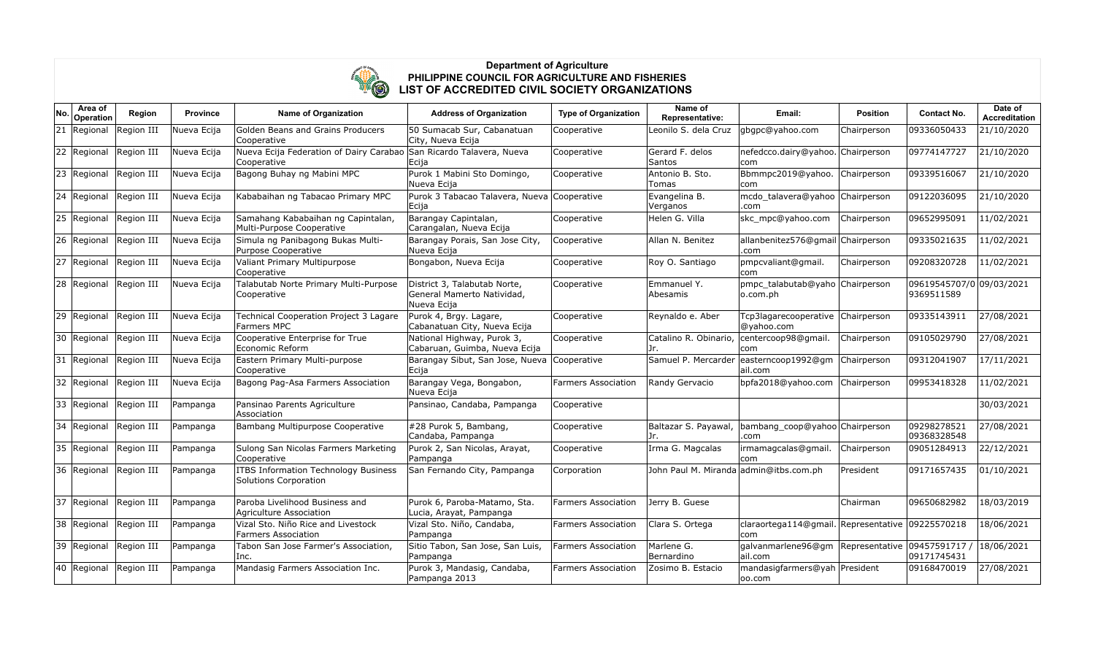

## **Department of Agriculture PHILIPPINE COUNCIL FOR AGRICULTURE AND FISHERIES LIST OF ACCREDITED CIVIL SOCIETY ORGANIZATIONS**

| No.          | Area of<br>Operation   | Region     | <b>Province</b> | <b>Name of Organization</b>                                                        | <b>Address of Organization</b>                                            | <b>Type of Organization</b> | Name of<br>Representative:             | Email:                                                     | <b>Position</b> | <b>Contact No.</b>                     | Date of<br><b>Accreditation</b> |
|--------------|------------------------|------------|-----------------|------------------------------------------------------------------------------------|---------------------------------------------------------------------------|-----------------------------|----------------------------------------|------------------------------------------------------------|-----------------|----------------------------------------|---------------------------------|
| 21           | Regional               | Region III | Nueva Ecija     | Golden Beans and Grains Producers<br>Cooperative                                   | 50 Sumacab Sur, Cabanatuan<br>City, Nueva Ecija                           | Cooperative                 | Leonilo S. dela Cruz                   | gbgpc@yahoo.com                                            | Chairperson     | 09336050433                            | 21/10/2020                      |
| 22           | Regional               | Region III | Nueva Ecija     | Nueva Ecija Federation of Dairy Carabao San Ricardo Talavera, Nueva<br>Cooperative | Ecija                                                                     | Cooperative                 | Gerard F. delos<br><b>Santos</b>       | nefedcco.dairy@yahoo.<br>lcom.                             | Chairperson     | 09774147727                            | 21/10/2020                      |
| 23           | Regional               | Region III | Nueva Ecija     | Bagong Buhay ng Mabini MPC                                                         | Purok 1 Mabini Sto Domingo,<br>Nueva Ecija                                | Cooperative                 | Antonio B. Sto.<br>Tomas               | Bbmmpc2019@yahoo.<br>com                                   | Chairperson     | 09339516067                            | 21/10/2020                      |
| $ 24\rangle$ | Regional               | Region III | Nueva Ecija     | Kababaihan ng Tabacao Primary MPC                                                  | Purok 3 Tabacao Talavera, Nueva Cooperative<br>Ecija                      |                             | Evangelina B.<br>Verganos              | mcdo talavera@yahoo Chairperson<br>.com                    |                 | 09122036095                            | 21/10/2020                      |
| 25           | Regional               | Region III | Nueva Ecija     | Samahang Kababaihan ng Capintalan,<br>Multi-Purpose Cooperative                    | Barangay Capintalan,<br>Carangalan, Nueva Ecija                           | Cooperative                 | Helen G. Villa                         | skc_mpc@yahoo.com                                          | Chairperson     | 09652995091                            | 11/02/2021                      |
|              | 26 Regional            | Region III | Nueva Ecija     | Simula ng Panibagong Bukas Multi-<br>Purpose Cooperative                           | Barangay Porais, San Jose City,<br>Nueva Ecija                            | Cooperative                 | Allan N. Benitez                       | allanbenitez576@gmail Chairperson<br>.com                  |                 | 09335021635                            | 11/02/2021                      |
| 27           | Regional               | Region III | Nueva Ecija     | Valiant Primary Multipurpose<br>Cooperative                                        | Bongabon, Nueva Ecija                                                     | Cooperative                 | Roy O. Santiago                        | pmpcvaliant@gmail.<br>com                                  | Chairperson     | 09208320728                            | 11/02/2021                      |
| 28           | Regional               | Region III | Nueva Ecija     | Talabutab Norte Primary Multi-Purpose<br>Cooperative                               | District 3, Talabutab Norte,<br>General Mamerto Natividad,<br>Nueva Ecija | Cooperative                 | Emmanuel Y.<br>Abesamis                | pmpc_talabutab@yaho Chairperson<br> o.com.ph               |                 | 09619545707/0 09/03/2021<br>9369511589 |                                 |
| 29           | Regional               | Region III | Nueva Ecija     | Technical Cooperation Project 3 Lagare<br>Farmers MPC                              | Purok 4, Brgy. Lagare,<br>Cabanatuan City, Nueva Ecija                    | Cooperative                 | Reynaldo e. Aber                       | Tcp3lagarecooperative Chairperson<br>@yahoo.com            |                 | 09335143911                            | 27/08/2021                      |
|              | 30 Regional            | Region III | Nueva Ecija     | Cooperative Enterprise for True<br>Economic Reform                                 | National Highway, Purok 3,<br>Cabaruan, Guimba, Nueva Ecija               | Cooperative                 | Catalino R. Obinario,<br>Jr.           | , centercoop98@gmail.<br> com                              | Chairperson     | 09105029790                            | 27/08/2021                      |
| 31           | Regional               | Region III | Nueva Ecija     | Eastern Primary Multi-purpose<br>Cooperative                                       | Barangay Sibut, San Jose, Nueva Cooperative<br>Ecija                      |                             |                                        | Samuel P. Mercarder easterncoop1992@gm<br>lail.com         | Chairperson     | 09312041907                            | 17/11/2021                      |
| 32           | Regional               | Region III | Nueva Ecija     | Bagong Pag-Asa Farmers Association                                                 | Barangay Vega, Bongabon,<br>Nueva Ecija                                   | <b>Farmers Association</b>  | Randy Gervacio                         | bpfa2018@yahoo.com                                         | Chairperson     | 09953418328                            | 11/02/2021                      |
|              | 33 Regional            | Region III | Pampanga        | Pansinao Parents Agriculture<br>Association                                        | Pansinao, Candaba, Pampanga                                               | Cooperative                 |                                        |                                                            |                 |                                        | 30/03/2021                      |
| 34           | Regional               | Region III | Pampanga        | Bambang Multipurpose Cooperative                                                   | #28 Purok 5, Bambang,<br>Candaba, Pampanga                                | Cooperative                 | Baltazar S. Payawal,<br>Jr.            | bambang_coop@yahoo Chairperson<br>.com                     |                 | 09298278521<br>09368328548             | 27/08/2021                      |
|              | 35 Regional            | Region III | Pampanga        | Sulong San Nicolas Farmers Marketing<br>Cooperative                                | Purok 2, San Nicolas, Arayat,<br>Pampanga                                 | Cooperative                 | Irma G. Magcalas                       | irmamagcalas@gmail.<br>lcom.                               | Chairperson     | 09051284913                            | 22/12/2021                      |
|              | 36 Regional Region III |            | Pampanga        | <b>ITBS Information Technology Business</b><br>Solutions Corporation               | San Fernando City, Pampanga                                               | Corporation                 | John Paul M. Miranda admin@itbs.com.ph |                                                            | President       | 09171657435                            | 01/10/2021                      |
| 37           | Regional               | Region III | Pampanga        | Paroba Livelihood Business and<br>Agriculture Association                          | Purok 6, Paroba-Matamo, Sta.<br>Lucia, Arayat, Pampanga                   | <b>Farmers Association</b>  | Jerry B. Guese                         |                                                            | Chairman        | 09650682982                            | 18/03/2019                      |
|              | 38 Regional            | Region III | Pampanga        | Vizal Sto. Niño Rice and Livestock<br><b>Farmers Association</b>                   | Vizal Sto. Niño, Candaba,<br>Pampanga                                     | <b>Farmers Association</b>  | Clara S. Ortega                        | claraortega114@gmail. Representative   09225570218<br> com |                 |                                        | 18/06/2021                      |
|              | 39 Regional            | Region III | Pampanga        | Tabon San Jose Farmer's Association,<br>Inc.                                       | Sitio Tabon, San Jose, San Luis,<br>Pampanga                              | <b>Farmers Association</b>  | Marlene G.<br>Bernardino               | galvanmarlene96@gm<br>lail.com                             | Representative  | 09457591717<br>09171745431             | 18/06/2021                      |
|              | 40 Regional            | Region III | Pampanga        | Mandasig Farmers Association Inc.                                                  | Purok 3, Mandasig, Candaba,<br>Pampanga 2013                              | <b>Farmers Association</b>  | Zosimo B. Estacio                      | mandasigfarmers@yah President<br>00.com                    |                 | 09168470019                            | 27/08/2021                      |